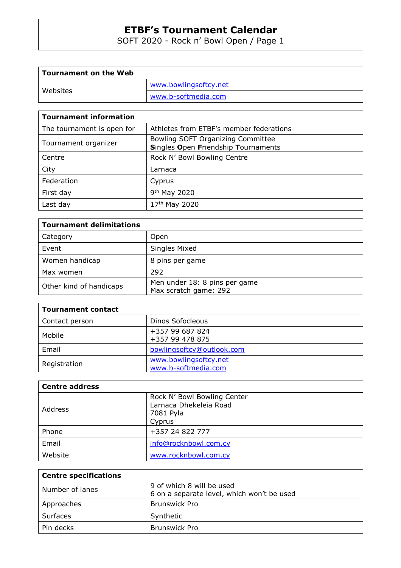SOFT 2020 - Rock n' Bowl Open / Page 1

| Tournament on the Web |                       |
|-----------------------|-----------------------|
| Websites              | www.bowlingsoftcy.net |
|                       | www.b-softmedia.com   |

## **Tournament information**

| The tournament is open for | Athletes from ETBF's member federations                                  |
|----------------------------|--------------------------------------------------------------------------|
| Tournament organizer       | Bowling SOFT Organizing Committee<br>Singles Open Friendship Tournaments |
| Centre                     | Rock N' Bowl Bowling Centre                                              |
| City                       | Larnaca                                                                  |
| Federation                 | Cyprus                                                                   |
| First day                  | 9 <sup>th</sup> May 2020                                                 |
| Last day                   | 17th May 2020                                                            |

| <b>Tournament delimitations</b> |                                                        |  |  |  |  |
|---------------------------------|--------------------------------------------------------|--|--|--|--|
| Category                        | <b>Open</b>                                            |  |  |  |  |
| Event                           | Singles Mixed                                          |  |  |  |  |
| Women handicap                  | 8 pins per game                                        |  |  |  |  |
| Max women                       | 292                                                    |  |  |  |  |
| Other kind of handicaps         | Men under 18: 8 pins per game<br>Max scratch game: 292 |  |  |  |  |

| <b>Tournament contact</b> |                                              |
|---------------------------|----------------------------------------------|
| Contact person            | Dinos Sofocleous                             |
| Mobile                    | +357 99 687 824<br>+357 99 478 875           |
| Email                     | bowlingsoftcy@outlook.com                    |
| Registration              | www.bowlingsoftcy.net<br>www.b-softmedia.com |

| <b>Centre address</b> |                                                                              |
|-----------------------|------------------------------------------------------------------------------|
| Address               | Rock N' Bowl Bowling Center<br>Larnaca Dhekeleia Road<br>7081 Pyla<br>Cyprus |
| Phone                 | +357 24 822 777                                                              |
| Email                 | info@rocknbowl.com.cy                                                        |
| Website               | www.rocknbowl.com.cy                                                         |

| <b>Centre specifications</b> |                                            |  |  |  |  |
|------------------------------|--------------------------------------------|--|--|--|--|
| Number of lanes              | 9 of which 8 will be used                  |  |  |  |  |
|                              | 6 on a separate level, which won't be used |  |  |  |  |
| Approaches                   | <b>Brunswick Pro</b>                       |  |  |  |  |
| Surfaces                     | Synthetic                                  |  |  |  |  |
| Pin decks                    | <b>Brunswick Pro</b>                       |  |  |  |  |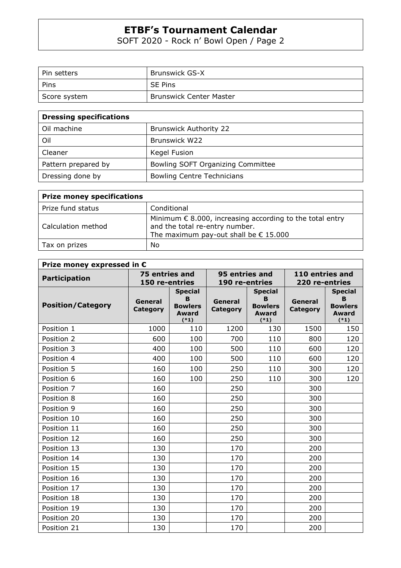SOFT 2020 - Rock n' Bowl Open / Page 2

| Pin setters  | <b>Brunswick GS-X</b>          |
|--------------|--------------------------------|
| Pins         | <b>SE Pins</b>                 |
| Score system | <b>Brunswick Center Master</b> |

| <b>Dressing specifications</b> |                                   |
|--------------------------------|-----------------------------------|
| Oil machine                    | <b>Brunswick Authority 22</b>     |
| Oil                            | <b>Brunswick W22</b>              |
| Cleaner                        | Kegel Fusion                      |
| Pattern prepared by            | Bowling SOFT Organizing Committee |
| Dressing done by               | <b>Bowling Centre Technicians</b> |

| <b>Prize money specifications</b> |                                                                                                                                                       |  |  |  |  |
|-----------------------------------|-------------------------------------------------------------------------------------------------------------------------------------------------------|--|--|--|--|
| Prize fund status                 | Conditional                                                                                                                                           |  |  |  |  |
| Calculation method                | Minimum $\epsilon$ 8.000, increasing according to the total entry<br>and the total re-entry number.<br>The maximum pay-out shall be $\epsilon$ 15.000 |  |  |  |  |
| Tax on prizes                     | No                                                                                                                                                    |  |  |  |  |

| Prize money expressed in $\epsilon$ |                                  |                                                          |                                  |                                                                 |                                   |                                                                 |  |  |
|-------------------------------------|----------------------------------|----------------------------------------------------------|----------------------------------|-----------------------------------------------------------------|-----------------------------------|-----------------------------------------------------------------|--|--|
| <b>Participation</b>                | 75 entries and<br>150 re-entries |                                                          | 95 entries and<br>190 re-entries |                                                                 | 110 entries and<br>220 re-entries |                                                                 |  |  |
| <b>Position/Category</b>            | General<br><b>Category</b>       | <b>Special</b><br>B<br><b>Bowlers</b><br>Award<br>$(*1)$ | General<br><b>Category</b>       | <b>Special</b><br>B<br><b>Bowlers</b><br><b>Award</b><br>$(*1)$ | General<br><b>Category</b>        | <b>Special</b><br>B<br><b>Bowlers</b><br><b>Award</b><br>$(*1)$ |  |  |
| Position 1                          | 1000                             | 110                                                      | 1200                             | 130                                                             | 1500                              | 150                                                             |  |  |
| Position 2                          | 600                              | 100                                                      | 700                              | 110                                                             | 800                               | 120                                                             |  |  |
| Position 3                          | 400                              | 100                                                      | 500                              | 110                                                             | 600                               | 120                                                             |  |  |
| Position 4                          | 400                              | 100                                                      | 500                              | 110                                                             | 600                               | 120                                                             |  |  |
| Position 5                          | 160                              | 100                                                      | 250                              | 110                                                             | 300                               | 120                                                             |  |  |
| Position 6                          | 160                              | 100                                                      | 250                              | 110                                                             | 300                               | 120                                                             |  |  |
| Position 7                          | 160                              |                                                          | 250                              |                                                                 | 300                               |                                                                 |  |  |
| Position 8                          | 160                              |                                                          | 250                              |                                                                 | 300                               |                                                                 |  |  |
| Position 9                          | 160                              |                                                          | 250                              |                                                                 | 300                               |                                                                 |  |  |
| Position 10                         | 160                              |                                                          | 250                              |                                                                 | 300                               |                                                                 |  |  |
| Position 11                         | 160                              |                                                          | 250                              |                                                                 | 300                               |                                                                 |  |  |
| Position 12                         | 160                              |                                                          | 250                              |                                                                 | 300                               |                                                                 |  |  |
| Position 13                         | 130                              |                                                          | 170                              |                                                                 | 200                               |                                                                 |  |  |
| Position 14                         | 130                              |                                                          | 170                              |                                                                 | 200                               |                                                                 |  |  |
| Position 15                         | 130                              |                                                          | 170                              |                                                                 | 200                               |                                                                 |  |  |
| Position 16                         | 130                              |                                                          | 170                              |                                                                 | 200                               |                                                                 |  |  |
| Position 17                         | 130                              |                                                          | 170                              |                                                                 | 200                               |                                                                 |  |  |
| Position 18                         | 130                              |                                                          | 170                              |                                                                 | 200                               |                                                                 |  |  |
| Position 19                         | 130                              |                                                          | 170                              |                                                                 | 200                               |                                                                 |  |  |
| Position 20                         | 130                              |                                                          | 170                              |                                                                 | 200                               |                                                                 |  |  |
| Position 21                         | 130                              |                                                          | 170                              |                                                                 | 200                               |                                                                 |  |  |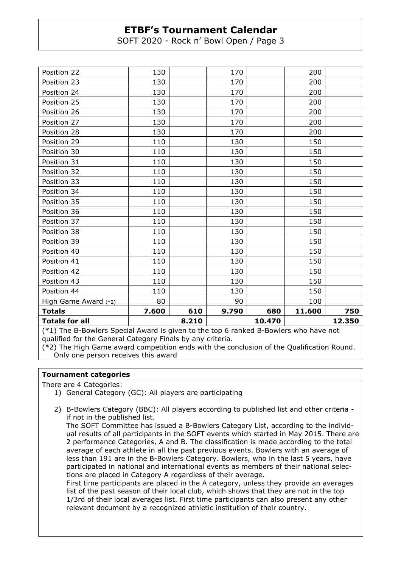SOFT 2020 - Rock n' Bowl Open / Page 3

| $(*1)$ The B-Bowlers Special Award is given to the ten 6 rapiced B-Bowlers who have not |                 |     |       |     |        |        |
|-----------------------------------------------------------------------------------------|-----------------|-----|-------|-----|--------|--------|
| <b>Totals for all</b>                                                                   | 10.470<br>8.210 |     |       |     |        | 12.350 |
| <b>Totals</b>                                                                           | 7.600           | 610 | 9.790 | 680 | 11.600 | 750    |
| High Game Award (*2)                                                                    | 80              |     | 90    |     | 100    |        |
| Position 44                                                                             | 110             |     | 130   |     | 150    |        |
| Position 43                                                                             | 110             |     | 130   |     | 150    |        |
| Position 42                                                                             | 110             |     | 130   |     | 150    |        |
| Position 41                                                                             | 110             |     | 130   |     | 150    |        |
| Position 40                                                                             | 110             |     | 130   |     | 150    |        |
| Position 39                                                                             | 110             |     | 130   |     | 150    |        |
| Position 38                                                                             | 110             |     | 130   |     | 150    |        |
| Position 37                                                                             | 110             |     | 130   |     | 150    |        |
| Position 36                                                                             | 110             |     | 130   |     | 150    |        |
| Position 35                                                                             | 110             |     | 130   |     | 150    |        |
| Position 34                                                                             | 110             |     | 130   |     | 150    |        |
| Position 33                                                                             | 110             |     | 130   |     | 150    |        |
| Position 32                                                                             | 110             |     | 130   |     | 150    |        |
| Position 31                                                                             | 110             |     | 130   |     | 150    |        |
| Position 30                                                                             | 110             |     | 130   |     | 150    |        |
| Position 29                                                                             | 110             |     | 130   |     | 150    |        |
| Position 28                                                                             | 130             |     | 170   |     | 200    |        |
| Position 27                                                                             | 130             |     | 170   |     | 200    |        |
| Position 26                                                                             | 130             |     | 170   |     | 200    |        |
| Position 25                                                                             | 130             |     | 170   |     | 200    |        |
| Position 24                                                                             | 130             |     | 170   |     | 200    |        |
| Position 23                                                                             | 130             |     | 170   |     | 200    |        |
| Position 22                                                                             | 130             |     | 170   |     | 200    |        |

(\*1) The B-Bowlers Special Award is given to the top 6 ranked B-Bowlers who have not qualified for the General Category Finals by any criteria.

(\*2) The High Game award competition ends with the conclusion of the Qualification Round. Only one person receives this award

## **Tournament categories**

There are 4 Categories:

- 1) General Category (GC): All players are participating
- 2) B-Bowlers Category (BBC): All players according to published list and other criteria if not in the published list.

The SOFT Committee has issued a B-Bowlers Category List, according to the individual results of all participants in the SOFT events which started in May 2015. There are 2 performance Categories, A and B. The classification is made according to the total average of each athlete in all the past previous events. Bowlers with an average of less than 191 are in the B-Bowlers Category. Bowlers, who in the last 5 years, have participated in national and international events as members of their national selections are placed in Category A regardless of their average.

First time participants are placed in the A category, unless they provide an averages list of the past season of their local club, which shows that they are not in the top 1/3rd of their local averages list. First time participants can also present any other relevant document by a recognized athletic institution of their country.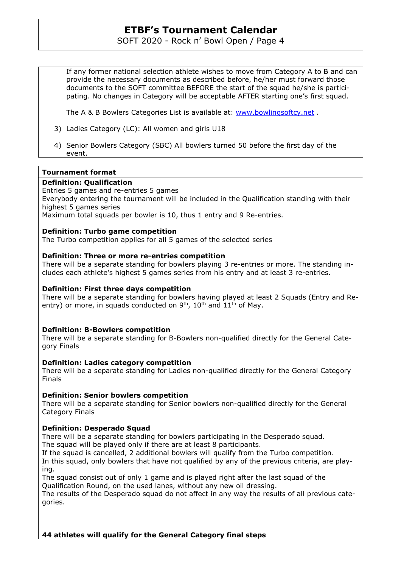SOFT 2020 - Rock n' Bowl Open / Page 4

If any former national selection athlete wishes to move from Category A to B and can provide the necessary documents as described before, he/her must forward those documents to the SOFT committee BEFORE the start of the squad he/she is participating. No changes in Category will be acceptable AFTER starting one's first squad.

The A & B Bowlers Categories List is available at: www.bowlingsoftcy.net .

- 3) Ladies Category (LC): All women and girls U18
- 4) Senior Bowlers Category (SBC) All bowlers turned 50 before the first day of the event.

## **Tournament format**

## **Definition: Qualification**

Entries 5 games and re-entries 5 games

Everybody entering the tournament will be included in the Qualification standing with their highest 5 games series

Maximum total squads per bowler is 10, thus 1 entry and 9 Re-entries.

## **Definition: Turbo game competition**

The Turbo competition applies for all 5 games of the selected series

## **Definition: Three or more re-entries competition**

There will be a separate standing for bowlers playing 3 re-entries or more. The standing includes each athlete's highest 5 games series from his entry and at least 3 re-entries.

## **Definition: First three days competition**

There will be a separate standing for bowlers having played at least 2 Squads (Entry and Reentry) or more, in squads conducted on  $9<sup>th</sup>$ ,  $10<sup>th</sup>$  and  $11<sup>th</sup>$  of May.

## **Definition: B-Bowlers competition**

There will be a separate standing for B-Bowlers non-qualified directly for the General Category Finals

## **Definition: Ladies category competition**

There will be a separate standing for Ladies non-qualified directly for the General Category Finals

## **Definition: Senior bowlers competition**

There will be a separate standing for Senior bowlers non-qualified directly for the General Category Finals

## **Definition: Desperado Squad**

There will be a separate standing for bowlers participating in the Desperado squad. The squad will be played only if there are at least 8 participants.

If the squad is cancelled, 2 additional bowlers will qualify from the Turbo competition.

In this squad, only bowlers that have not qualified by any of the previous criteria, are playing.

The squad consist out of only 1 game and is played right after the last squad of the Qualification Round, on the used lanes, without any new oil dressing.

The results of the Desperado squad do not affect in any way the results of all previous categories.

## **44 athletes will qualify for the General Category final steps**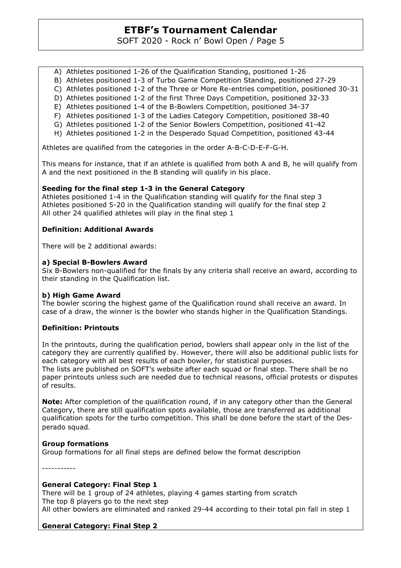SOFT 2020 - Rock n' Bowl Open / Page 5

- A) Athletes positioned 1-26 of the Qualification Standing, positioned 1-26
- B) Athletes positioned 1-3 of Turbo Game Competition Standing, positioned 27-29
- C) Athletes positioned 1-2 of the Three or More Re-entries competition, positioned 30-31
- D) Athletes positioned 1-2 of the first Three Days Competition, positioned 32-33
- E) Athletes positioned 1-4 of the B-Bowlers Competition, positioned 34-37
- F) Athletes positioned 1-3 of the Ladies Category Competition, positioned 38-40
- G) Athletes positioned 1-2 of the Senior Bowlers Competition, positioned 41-42
- H) Athletes positioned 1-2 in the Desperado Squad Competition, positioned 43-44

Athletes are qualified from the categories in the order A-B-C-D-E-F-G-H.

This means for instance, that if an athlete is qualified from both A and B, he will qualify from A and the next positioned in the B standing will qualify in his place.

## **Seeding for the final step 1-3 in the General Category**

Athletes positioned 1-4 in the Qualification standing will qualify for the final step 3 Athletes positioned 5-20 in the Qualification standing will qualify for the final step 2 All other 24 qualified athletes will play in the final step 1

## **Definition: Additional Awards**

There will be 2 additional awards:

## **a) Special B-Bowlers Award**

Six B-Bowlers non-qualified for the finals by any criteria shall receive an award, according to their standing in the Qualification list.

## **b) High Game Award**

The bowler scoring the highest game of the Qualification round shall receive an award. In case of a draw, the winner is the bowler who stands higher in the Qualification Standings.

## **Definition: Printouts**

In the printouts, during the qualification period, bowlers shall appear only in the list of the category they are currently qualified by. However, there will also be additional public lists for each category with all best results of each bowler, for statistical purposes. The lists are published on SOFT's website after each squad or final step. There shall be no

paper printouts unless such are needed due to technical reasons, official protests or disputes of results.

**Note:** After completion of the qualification round, if in any category other than the General Category, there are still qualification spots available, those are transferred as additional qualification spots for the turbo competition. This shall be done before the start of the Desperado squad.

## **Group formations**

Group formations for all final steps are defined below the format description

-----------

## **General Category: Final Step 1**

There will be 1 group of 24 athletes, playing 4 games starting from scratch The top 8 players go to the next step All other bowlers are eliminated and ranked 29-44 according to their total pin fall in step 1

## **General Category: Final Step 2**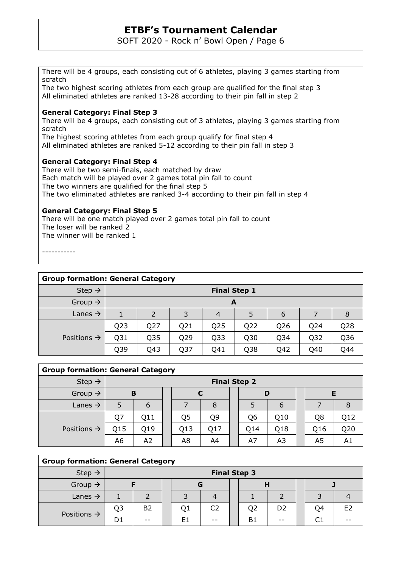SOFT 2020 - Rock n' Bowl Open / Page 6

There will be 4 groups, each consisting out of 6 athletes, playing 3 games starting from scratch

The two highest scoring athletes from each group are qualified for the final step 3 All eliminated athletes are ranked 13-28 according to their pin fall in step 2

## **General Category: Final Step 3**

There will be 4 groups, each consisting out of 3 athletes, playing 3 games starting from scratch

The highest scoring athletes from each group qualify for final step 4 All eliminated athletes are ranked 5-12 according to their pin fall in step 3

## **General Category: Final Step 4**

There will be two semi-finals, each matched by draw Each match will be played over 2 games total pin fall to count The two winners are qualified for the final step 5 The two eliminated athletes are ranked 3-4 according to their pin fall in step 4

## **General Category: Final Step 5**

There will be one match played over 2 games total pin fall to count The loser will be ranked 2 The winner will be ranked 1

-----------

| <b>Group formation: General Category</b> |                     |                                 |                 |     |                 |                 |                 |                 |  |
|------------------------------------------|---------------------|---------------------------------|-----------------|-----|-----------------|-----------------|-----------------|-----------------|--|
| Step $\rightarrow$                       | <b>Final Step 1</b> |                                 |                 |     |                 |                 |                 |                 |  |
| Group $\rightarrow$                      |                     | A                               |                 |     |                 |                 |                 |                 |  |
| Lanes $\rightarrow$                      | 1                   | 5<br>2<br>3<br>6<br>7<br>8<br>4 |                 |     |                 |                 |                 |                 |  |
|                                          | Q <sub>23</sub>     | Q27                             | Q21             | Q25 | Q22             | Q26             | Q24             | Q <sub>28</sub> |  |
| Positions $\rightarrow$                  | Q31                 | Q35                             | Q29             | Q33 | Q30             | Q <sub>34</sub> | Q <sub>32</sub> | Q36             |  |
|                                          | Q39                 | Q43                             | Q <sub>37</sub> | Q41 | Q <sub>38</sub> | Q42             | Q40             | Q44             |  |

## **Group formation: General Category**

| Step $\rightarrow$      | <b>Final Step 2</b> |     |  |     |                |  |     |     |     |     |
|-------------------------|---------------------|-----|--|-----|----------------|--|-----|-----|-----|-----|
| Group $\rightarrow$     | в                   |     |  |     |                |  |     |     |     |     |
| Lanes $\rightarrow$     | 5                   | 6   |  |     | 8              |  |     | 6   |     |     |
| Positions $\rightarrow$ | Q7                  | Q11 |  | Q5  | Q <sub>9</sub> |  | Q6  | Q10 | Q8  | Q12 |
|                         | Q15                 | Q19 |  | Q13 | Q17            |  | Q14 | Q18 | Q16 | Q20 |
|                         | A6                  | A2  |  | A8  | A4             |  | A7  | A3  | A5  | A1  |

| <b>Group formation: General Category</b> |                     |                |  |    |                |  |    |                |  |    |    |
|------------------------------------------|---------------------|----------------|--|----|----------------|--|----|----------------|--|----|----|
| Step $\rightarrow$                       | <b>Final Step 3</b> |                |  |    |                |  |    |                |  |    |    |
| Group $\rightarrow$                      |                     |                |  |    |                |  | Н  |                |  |    |    |
| Lanes $\rightarrow$                      |                     |                |  |    |                |  |    |                |  |    |    |
| Positions $\rightarrow$                  | Q3                  | B <sub>2</sub> |  | Q1 | C <sub>2</sub> |  | Q2 | D <sub>2</sub> |  | Q4 | E2 |
|                                          | D1                  |                |  | E1 | $- -$          |  | B1 |                |  |    |    |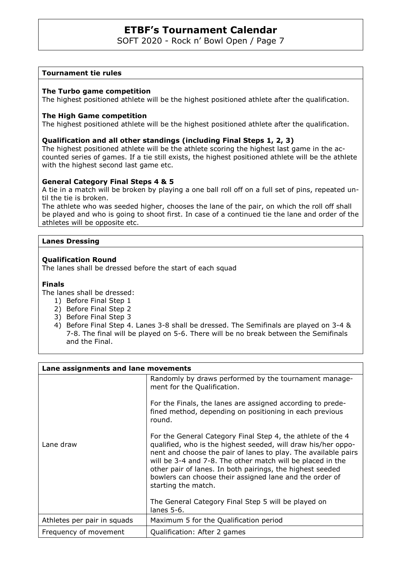SOFT 2020 - Rock n' Bowl Open / Page 7

## **Tournament tie rules**

#### **The Turbo game competition**

The highest positioned athlete will be the highest positioned athlete after the qualification.

#### **The High Game competition**

The highest positioned athlete will be the highest positioned athlete after the qualification.

#### **Qualification and all other standings (including Final Steps 1, 2, 3)**

The highest positioned athlete will be the athlete scoring the highest last game in the accounted series of games. If a tie still exists, the highest positioned athlete will be the athlete with the highest second last game etc.

#### **General Category Final Steps 4 & 5**

A tie in a match will be broken by playing a one ball roll off on a full set of pins, repeated until the tie is broken.

The athlete who was seeded higher, chooses the lane of the pair, on which the roll off shall be played and who is going to shoot first. In case of a continued tie the lane and order of the athletes will be opposite etc.

#### **Lanes Dressing**

#### **Qualification Round**

The lanes shall be dressed before the start of each squad

#### **Finals**

The lanes shall be dressed:

- 1) Before Final Step 1
- 2) Before Final Step 2
- 3) Before Final Step 3
- 4) Before Final Step 4. Lanes 3-8 shall be dressed. The Semifinals are played on 3-4 & 7-8. The final will be played on 5-6. There will be no break between the Semifinals and the Final.

| Lane assignments and lane movements |                                                                                                                                                                                                                                                                                                                                                                                                                                                                    |  |  |  |  |  |
|-------------------------------------|--------------------------------------------------------------------------------------------------------------------------------------------------------------------------------------------------------------------------------------------------------------------------------------------------------------------------------------------------------------------------------------------------------------------------------------------------------------------|--|--|--|--|--|
|                                     | Randomly by draws performed by the tournament manage-<br>ment for the Qualification.                                                                                                                                                                                                                                                                                                                                                                               |  |  |  |  |  |
|                                     | For the Finals, the lanes are assigned according to prede-<br>fined method, depending on positioning in each previous<br>round.                                                                                                                                                                                                                                                                                                                                    |  |  |  |  |  |
| Lane draw                           | For the General Category Final Step 4, the athlete of the 4<br>qualified, who is the highest seeded, will draw his/her oppo-<br>nent and choose the pair of lanes to play. The available pairs<br>will be 3-4 and 7-8. The other match will be placed in the<br>other pair of lanes. In both pairings, the highest seeded<br>bowlers can choose their assigned lane and the order of<br>starting the match.<br>The General Category Final Step 5 will be played on |  |  |  |  |  |
|                                     | lanes $5-6$ .                                                                                                                                                                                                                                                                                                                                                                                                                                                      |  |  |  |  |  |
| Athletes per pair in squads         | Maximum 5 for the Qualification period                                                                                                                                                                                                                                                                                                                                                                                                                             |  |  |  |  |  |
| Frequency of movement               | Qualification: After 2 games                                                                                                                                                                                                                                                                                                                                                                                                                                       |  |  |  |  |  |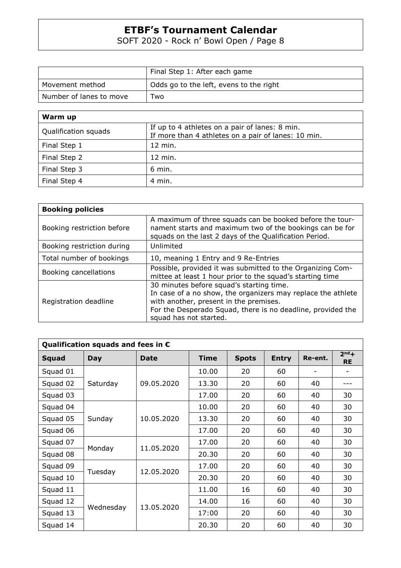SOFT 2020 - Rock n' Bowl Open / Page 8

|                         | Final Step 1: After each game           |
|-------------------------|-----------------------------------------|
| Movement method         | Odds go to the left, evens to the right |
| Number of lanes to move | Two                                     |

| Warm up              |                                                                                                       |
|----------------------|-------------------------------------------------------------------------------------------------------|
| Qualification squads | If up to 4 athletes on a pair of lanes: 8 min.<br>If more than 4 athletes on a pair of lanes: 10 min. |
| Final Step 1         | 12 min.                                                                                               |
| Final Step 2         | 12 min.                                                                                               |
| Final Step 3         | 6 min.                                                                                                |
| Final Step 4         | 4 min.                                                                                                |

| <b>Booking policies</b>    |                                                                                                                                                                                                                                             |
|----------------------------|---------------------------------------------------------------------------------------------------------------------------------------------------------------------------------------------------------------------------------------------|
| Booking restriction before | A maximum of three squads can be booked before the tour-<br>nament starts and maximum two of the bookings can be for<br>squads on the last 2 days of the Qualification Period.                                                              |
| Booking restriction during | Unlimited                                                                                                                                                                                                                                   |
| Total number of bookings   | 10, meaning 1 Entry and 9 Re-Entries                                                                                                                                                                                                        |
| Booking cancellations      | Possible, provided it was submitted to the Organizing Com-<br>mittee at least 1 hour prior to the squad's starting time                                                                                                                     |
| Registration deadline      | 30 minutes before squad's starting time.<br>In case of a no show, the organizers may replace the athlete<br>with another, present in the premises.<br>For the Desperado Squad, there is no deadline, provided the<br>squad has not started. |

| Qualification squads and fees in $\epsilon$ |            |             |             |              |              |         |                      |  |  |  |
|---------------------------------------------|------------|-------------|-------------|--------------|--------------|---------|----------------------|--|--|--|
| <b>Squad</b>                                | <b>Day</b> | <b>Date</b> | <b>Time</b> | <b>Spots</b> | <b>Entry</b> | Re-ent. | $2nd +$<br><b>RE</b> |  |  |  |
| Squad 01                                    |            |             | 10.00       | 20           | 60           |         |                      |  |  |  |
| Squad 02                                    | Saturday   | 09.05.2020  | 13.30       | 20           | 60           | 40      |                      |  |  |  |
| Squad 03                                    |            |             | 17.00       | 20           | 60           | 40      | 30                   |  |  |  |
| Squad 04                                    |            |             | 10.00       | 20           | 60           | 40      | 30                   |  |  |  |
| Squad 05                                    | Sunday     | 10.05.2020  | 13.30       | 20           | 60           | 40      | 30                   |  |  |  |
| Squad 06                                    |            |             | 17.00       | 20           | 60           | 40      | 30                   |  |  |  |
| Squad 07                                    | Monday     | 11.05.2020  | 17.00       | 20           | 60           | 40      | 30                   |  |  |  |
| Squad 08                                    |            |             | 20.30       | 20           | 60           | 40      | 30                   |  |  |  |
| Squad 09                                    |            | 12.05.2020  | 17.00       | 20           | 60           | 40      | 30                   |  |  |  |
| Squad 10                                    | Tuesday    |             | 20.30       | 20           | 60           | 40      | 30                   |  |  |  |
| Squad 11                                    |            | 13.05.2020  | 11.00       | 16           | 60           | 40      | 30                   |  |  |  |
| Squad 12                                    |            |             | 14.00       | 16           | 60           | 40      | 30                   |  |  |  |
| Squad 13                                    | Wednesday  |             | 17:00       | 20           | 60           | 40      | 30                   |  |  |  |
| Squad 14                                    |            |             | 20.30       | 20           | 60           | 40      | 30                   |  |  |  |